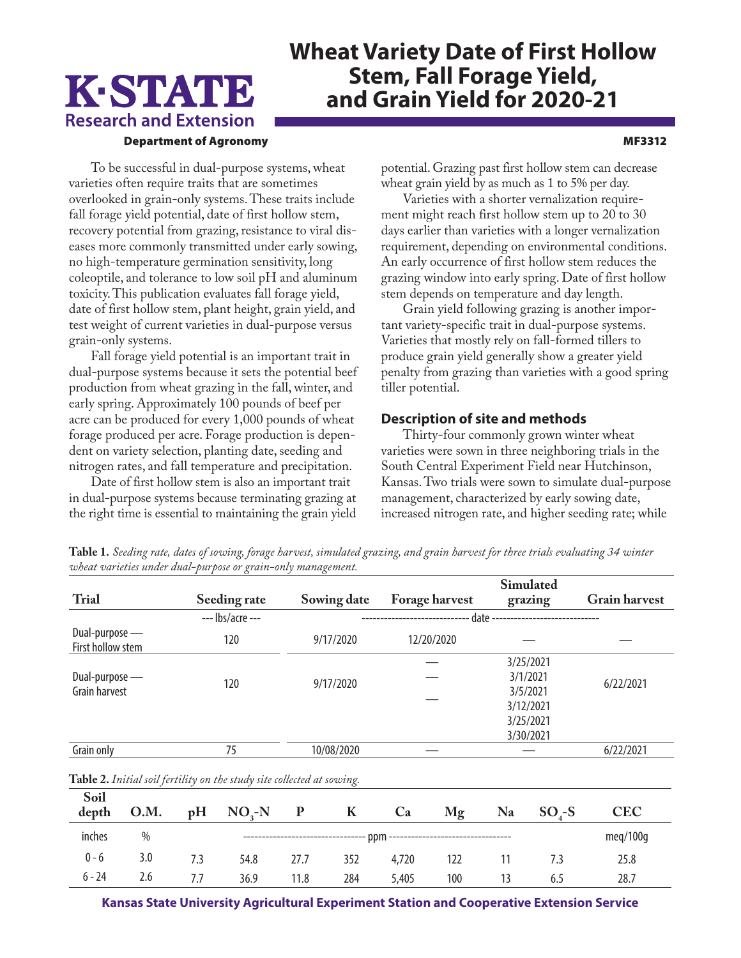# K-STATE **Research and Extension**

## **Wheat Variety Date of First Hollow Stem, Fall Forage Yield, and Grain Yield for 2020-21**

#### Department of Agronomy MF3312

To be successful in dual-purpose systems, wheat varieties often require traits that are sometimes overlooked in grain-only systems. These traits include fall forage yield potential, date of first hollow stem, recovery potential from grazing, resistance to viral diseases more commonly transmitted under early sowing, no high-temperature germination sensitivity, long coleoptile, and tolerance to low soil pH and aluminum toxicity. This publication evaluates fall forage yield, date of first hollow stem, plant height, grain yield, and test weight of current varieties in dual-purpose versus grain-only systems.

Fall forage yield potential is an important trait in dual-purpose systems because it sets the potential beef production from wheat grazing in the fall, winter, and early spring. Approximately 100 pounds of beef per acre can be produced for every 1,000 pounds of wheat forage produced per acre. Forage production is dependent on variety selection, planting date, seeding and nitrogen rates, and fall temperature and precipitation.

Date of first hollow stem is also an important trait in dual-purpose systems because terminating grazing at the right time is essential to maintaining the grain yield

potential. Grazing past first hollow stem can decrease wheat grain yield by as much as 1 to 5% per day.

Varieties with a shorter vernalization requirement might reach first hollow stem up to 20 to 30 days earlier than varieties with a longer vernalization requirement, depending on environmental conditions. An early occurrence of first hollow stem reduces the grazing window into early spring. Date of first hollow stem depends on temperature and day length.

Grain yield following grazing is another important variety-specific trait in dual-purpose systems. Varieties that mostly rely on fall-formed tillers to produce grain yield generally show a greater yield penalty from grazing than varieties with a good spring tiller potential.

#### **Description of site and methods**

Thirty-four commonly grown winter wheat varieties were sown in three neighboring trials in the South Central Experiment Field near Hutchinson, Kansas. Two trials were sown to simulate dual-purpose management, characterized by early sowing date, increased nitrogen rate, and higher seeding rate; while

|                                     |      |                    |                                                                        |                                                                   |                                      |            |         |    | Simulated            |            |  |
|-------------------------------------|------|--------------------|------------------------------------------------------------------------|-------------------------------------------------------------------|--------------------------------------|------------|---------|----|----------------------|------------|--|
| <b>Trial</b>                        |      | Seeding rate       |                                                                        |                                                                   | Sowing date<br><b>Forage harvest</b> |            | grazing |    | <b>Grain harvest</b> |            |  |
|                                     |      | $---$ lbs/acre --- |                                                                        | date -<br>--------------------------<br>------------------------- |                                      |            |         |    |                      |            |  |
| Dual-purpose —<br>First hollow stem |      | 120                |                                                                        |                                                                   | 9/17/2020                            | 12/20/2020 |         |    |                      |            |  |
|                                     |      |                    |                                                                        |                                                                   |                                      |            |         |    | 3/25/2021            |            |  |
| Dual-purpose —                      |      |                    |                                                                        | 9/17/2020                                                         |                                      |            |         |    | 3/1/2021             | 6/22/2021  |  |
| <b>Grain harvest</b>                |      | 120                |                                                                        |                                                                   |                                      |            |         |    | 3/5/2021             |            |  |
|                                     |      |                    |                                                                        |                                                                   |                                      |            |         |    | 3/12/2021            |            |  |
|                                     |      |                    |                                                                        |                                                                   |                                      |            |         |    | 3/25/2021            |            |  |
|                                     |      |                    |                                                                        |                                                                   |                                      |            |         |    | 3/30/2021            |            |  |
| Grain only                          |      |                    | 75                                                                     |                                                                   | 10/08/2020                           |            |         |    |                      | 6/22/2021  |  |
|                                     |      |                    | Table 2. Initial soil fertility on the study site collected at sowing. |                                                                   |                                      |            |         |    |                      |            |  |
| Soil                                |      |                    |                                                                        |                                                                   |                                      |            |         |    |                      |            |  |
| depth                               | O.M. | pH                 | $NO2-N$                                                                | ${\bf P}$                                                         | K                                    | Ca         | Mg      | Na | $SO4-S$              | <b>CEC</b> |  |
| inches                              | $\%$ |                    |                                                                        |                                                                   |                                      | meq/100q   |         |    |                      |            |  |

**Table 1.** *Seeding rate, dates of sowing, forage harvest, simulated grazing, and grain harvest for three trials evaluating 34 winter wheat varieties under dual-purpose or grain-only management.* 

**Kansas State University Agricultural Experiment Station and Cooperative Extension Service**

0 - 6 3.0 7.3 54.8 27.7 352 4,720 122 11 7.3 25.8 6 - 24 2.6 7.7 36.9 11.8 284 5,405 100 13 6.5 28.7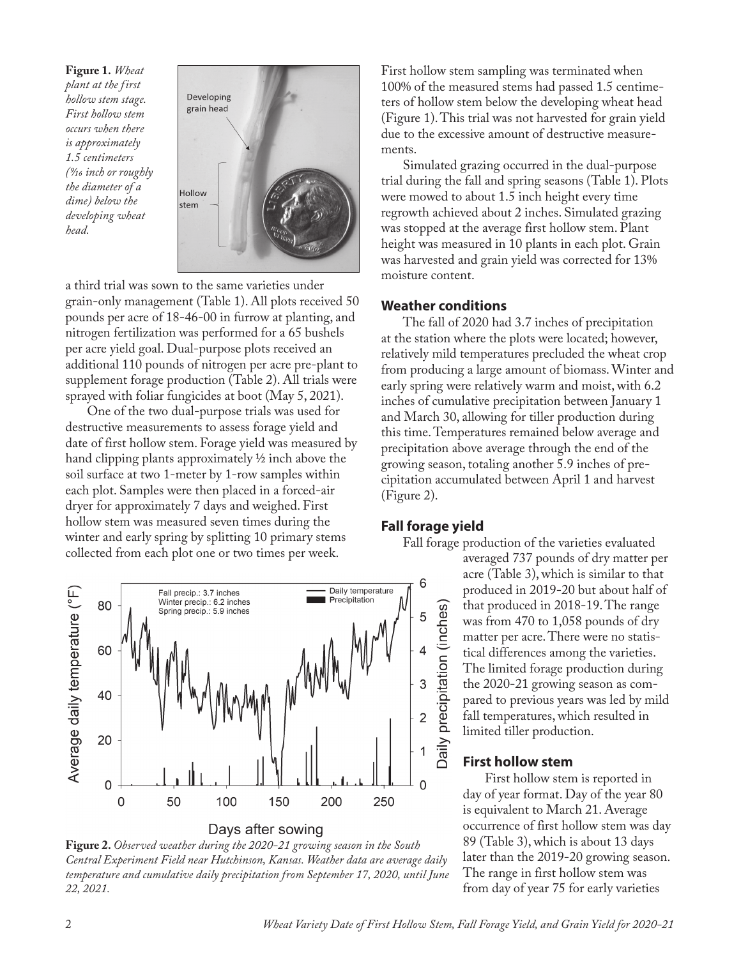**Figure 1.** *Wheat plant at the first hollow stem stage. First hollow stem occurs when there is approximately 1.5 centimeters (9/16 inch or roughly the diameter of a dime) below the developing wheat head.*



a third trial was sown to the same varieties under grain-only management (Table 1). All plots received 50 pounds per acre of 18-46-00 in furrow at planting, and nitrogen fertilization was performed for a 65 bushels per acre yield goal. Dual-purpose plots received an additional 110 pounds of nitrogen per acre pre-plant to supplement forage production (Table 2). All trials were sprayed with foliar fungicides at boot (May 5, 2021).

One of the two dual-purpose trials was used for destructive measurements to assess forage yield and date of first hollow stem. Forage yield was measured by hand clipping plants approximately ½ inch above the soil surface at two 1-meter by 1-row samples within each plot. Samples were then placed in a forced-air dryer for approximately 7 days and weighed. First hollow stem was measured seven times during the winter and early spring by splitting 10 primary stems collected from each plot one or two times per week.



**Figure 2.** *Observed weather during the 2020-21 growing season in the South Central Experiment Field near Hutchinson, Kansas. Weather data are average daily temperature and cumulative daily precipitation from September 17, 2020, until June 22, 2021.*

First hollow stem sampling was terminated when 100% of the measured stems had passed 1.5 centimeters of hollow stem below the developing wheat head (Figure 1). This trial was not harvested for grain yield due to the excessive amount of destructive measurements.

Simulated grazing occurred in the dual-purpose trial during the fall and spring seasons (Table 1). Plots were mowed to about 1.5 inch height every time regrowth achieved about 2 inches. Simulated grazing was stopped at the average first hollow stem. Plant height was measured in 10 plants in each plot. Grain was harvested and grain yield was corrected for 13% moisture content.

#### **Weather conditions**

The fall of 2020 had 3.7 inches of precipitation at the station where the plots were located; however, relatively mild temperatures precluded the wheat crop from producing a large amount of biomass. Winter and early spring were relatively warm and moist, with 6.2 inches of cumulative precipitation between January 1 and March 30, allowing for tiller production during this time. Temperatures remained below average and precipitation above average through the end of the growing season, totaling another 5.9 inches of precipitation accumulated between April 1 and harvest (Figure 2).

#### **Fall forage yield**

Fall forage production of the varieties evaluated averaged 737 pounds of dry matter per acre (Table 3), which is similar to that produced in 2019-20 but about half of that produced in 2018-19. The range Daily precipitation (inches) was from 470 to 1,058 pounds of dry matter per acre. There were no statistical differences among the varieties. The limited forage production during the 2020-21 growing season as compared to previous years was led by mild fall temperatures, which resulted in limited tiller production.

#### **First hollow stem**

First hollow stem is reported in day of year format. Day of the year 80 is equivalent to March 21. Average occurrence of first hollow stem was day 89 (Table 3), which is about 13 days later than the 2019-20 growing season. The range in first hollow stem was from day of year 75 for early varieties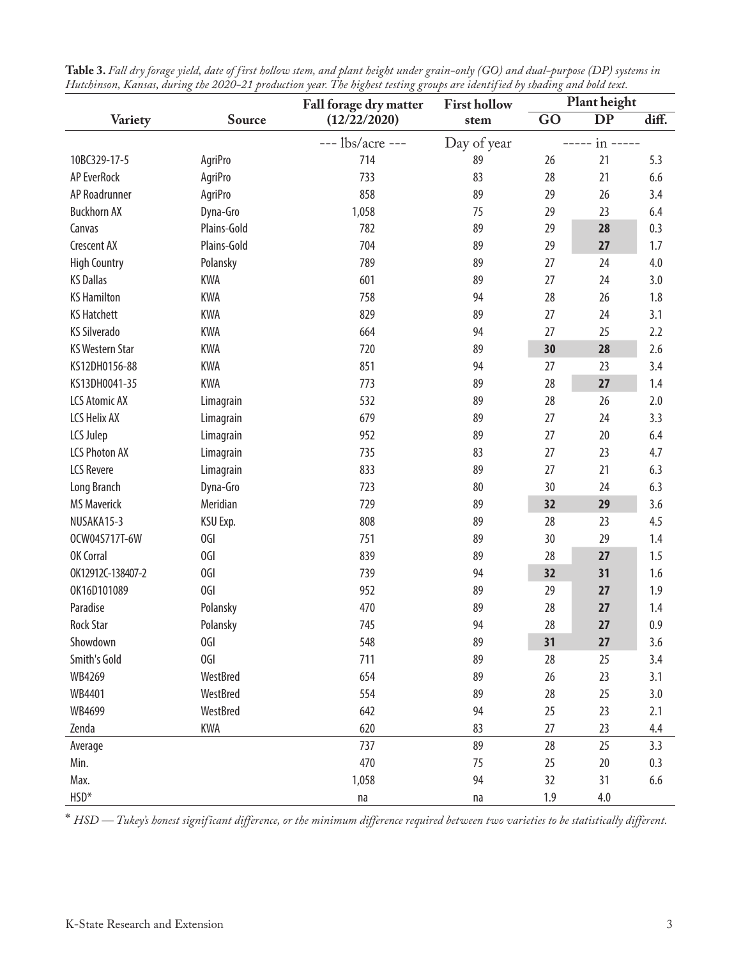|                        |                 | Fall forage dry matter | <b>First hollow</b> | Plant height |           |       |
|------------------------|-----------------|------------------------|---------------------|--------------|-----------|-------|
| Variety                | Source          | (12/22/2020)           | stem                | GO           | <b>DP</b> | diff. |
|                        |                 | $---$ lbs/acre $---$   | Day of year         |              | in -----  |       |
| 10BC329-17-5           | AgriPro         | 714                    | 89                  | 26           | 21        | 5.3   |
| <b>AP EverRock</b>     | AgriPro         | 733                    | 83                  | 28           | 21        | 6.6   |
| AP Roadrunner          | AgriPro         | 858                    | 89                  | 29           | 26        | 3.4   |
| <b>Buckhorn AX</b>     | Dyna-Gro        | 1,058                  | 75                  | 29           | 23        | 6.4   |
| Canvas                 | Plains-Gold     | 782                    | 89                  | 29           | 28        | 0.3   |
| <b>Crescent AX</b>     | Plains-Gold     | 704                    | 89                  | 29           | 27        | 1.7   |
| <b>High Country</b>    | Polansky        | 789                    | 89                  | 27           | 24        | 4.0   |
| <b>KS Dallas</b>       | <b>KWA</b>      | 601                    | 89                  | 27           | 24        | 3.0   |
| <b>KS Hamilton</b>     | <b>KWA</b>      | 758                    | 94                  | 28           | 26        | 1.8   |
| <b>KS Hatchett</b>     | <b>KWA</b>      | 829                    | 89                  | 27           | 24        | 3.1   |
| <b>KS Silverado</b>    | <b>KWA</b>      | 664                    | 94                  | 27           | 25        | 2.2   |
| <b>KS Western Star</b> | <b>KWA</b>      | 720                    | 89                  | 30           | 28        | 2.6   |
| KS12DH0156-88          | <b>KWA</b>      | 851                    | 94                  | 27           | 23        | 3.4   |
| KS13DH0041-35          | <b>KWA</b>      | 773                    | 89                  | 28           | 27        | 1.4   |
| <b>LCS Atomic AX</b>   | Limagrain       | 532                    | 89                  | 28           | 26        | 2.0   |
| LCS Helix AX           | Limagrain       | 679                    | 89                  | 27           | 24        | 3.3   |
| LCS Julep              | Limagrain       | 952                    | 89                  | 27           | 20        | 6.4   |
| <b>LCS Photon AX</b>   | Limagrain       | 735                    | 83                  | 27           | 23        | 4.7   |
| <b>LCS Revere</b>      | Limagrain       | 833                    | 89                  | 27           | 21        | 6.3   |
| Long Branch            | Dyna-Gro        | 723                    | 80                  | 30           | 24        | 6.3   |
| <b>MS Maverick</b>     | Meridian        | 729                    | 89                  | 32           | 29        | 3.6   |
| NUSAKA15-3             | KSU Exp.        | 808                    | 89                  | 28           | 23        | 4.5   |
| OCW04S717T-6W          | OGI             | 751                    | 89                  | 30           | 29        | 1.4   |
| OK Corral              | OGI             | 839                    | 89                  | 28           | 27        | 1.5   |
| OK12912C-138407-2      | 0GI             | 739                    | 94                  | 32           | 31        | 1.6   |
| OK16D101089            | OGI             | 952                    | 89                  | 29           | 27        | 1.9   |
| Paradise               | Polansky        | 470                    | 89                  | 28           | 27        | 1.4   |
| <b>Rock Star</b>       | Polansky        | 745                    | 94                  | 28           | 27        | 0.9   |
| Showdown               | 0GI             | 548                    | 89                  | 31           | 27        | 3.6   |
| Smith's Gold           | OGI             | 711                    | 89                  | 28           | 25        | 3.4   |
| WB4269                 | WestBred        | 654                    | 89                  | 26           | 23        | 3.1   |
| WB4401                 | <b>WestBred</b> | 554                    | 89                  | 28           | 25        | 3.0   |
| WB4699                 | WestBred        | 642                    | 94                  | 25           | 23        | 2.1   |
| Zenda                  | <b>KWA</b>      | 620                    | 83                  | 27           | 23        | 4.4   |
| Average                |                 | 737                    | 89                  | 28           | 25        | 3.3   |
| Min.                   |                 | 470                    | 75                  | 25           | 20        | 0.3   |
| Max.                   |                 | 1,058                  | 94                  | 32           | 31        | 6.6   |
| HSD*                   |                 | na                     | na                  | 1.9          | 4.0       |       |

| Table 3. Fall dry forage yield, date of first hollow stem, and plant height under grain-only (GO) and dual-purpose (DP) systems in |  |
|------------------------------------------------------------------------------------------------------------------------------------|--|
| Hutchinson, Kansas, during the 2020–21 production year. The highest testing groups are identified by shading and bold text.        |  |

\* *HSD — Tukey's honest significant difference, or the minimum difference required between two varieties to be statistically different.*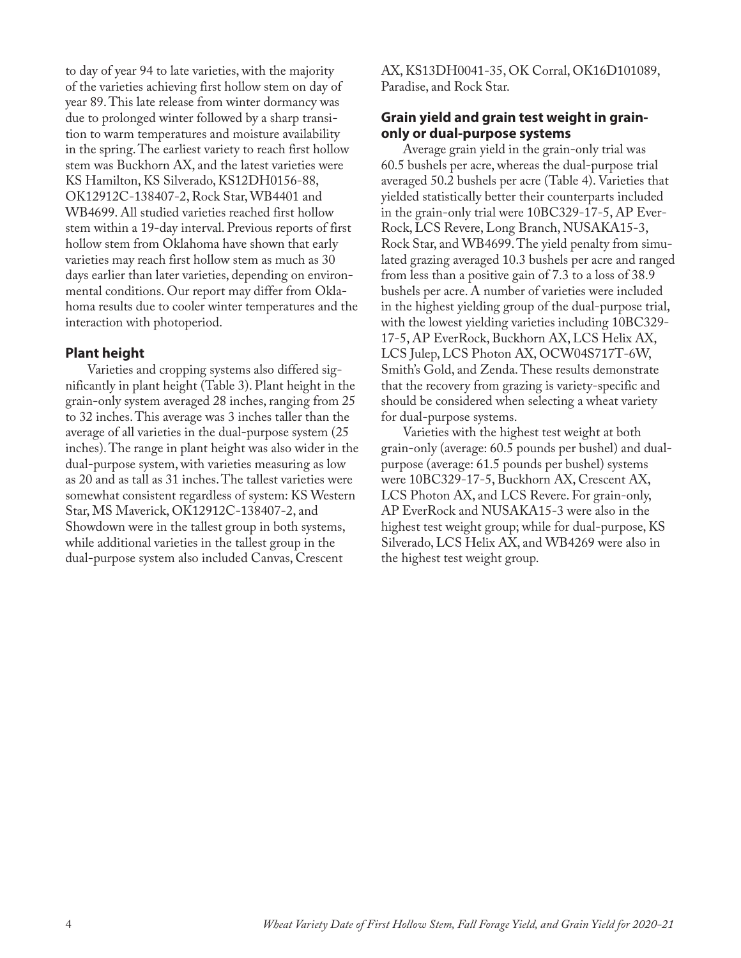to day of year 94 to late varieties, with the majority of the varieties achieving first hollow stem on day of year 89. This late release from winter dormancy was due to prolonged winter followed by a sharp transition to warm temperatures and moisture availability in the spring. The earliest variety to reach first hollow stem was Buckhorn AX, and the latest varieties were KS Hamilton, KS Silverado, KS12DH0156-88, OK12912C-138407-2, Rock Star, WB4401 and WB4699. All studied varieties reached first hollow stem within a 19-day interval. Previous reports of first hollow stem from Oklahoma have shown that early varieties may reach first hollow stem as much as 30 days earlier than later varieties, depending on environmental conditions. Our report may differ from Oklahoma results due to cooler winter temperatures and the interaction with photoperiod.

### **Plant height**

Varieties and cropping systems also differed significantly in plant height (Table 3). Plant height in the grain-only system averaged 28 inches, ranging from 25 to 32 inches. This average was 3 inches taller than the average of all varieties in the dual-purpose system (25 inches). The range in plant height was also wider in the dual-purpose system, with varieties measuring as low as 20 and as tall as 31 inches. The tallest varieties were somewhat consistent regardless of system: KS Western Star, MS Maverick, OK12912C-138407-2, and Showdown were in the tallest group in both systems, while additional varieties in the tallest group in the dual-purpose system also included Canvas, Crescent

AX, KS13DH0041-35, OK Corral, OK16D101089, Paradise, and Rock Star.

### **Grain yield and grain test weight in grainonly or dual-purpose systems**

Average grain yield in the grain-only trial was 60.5 bushels per acre, whereas the dual-purpose trial averaged 50.2 bushels per acre (Table 4). Varieties that yielded statistically better their counterparts included in the grain-only trial were 10BC329-17-5, AP Ever-Rock, LCS Revere, Long Branch, NUSAKA15-3, Rock Star, and WB4699. The yield penalty from simulated grazing averaged 10.3 bushels per acre and ranged from less than a positive gain of 7.3 to a loss of 38.9 bushels per acre. A number of varieties were included in the highest yielding group of the dual-purpose trial, with the lowest yielding varieties including 10BC329- 17-5, AP EverRock, Buckhorn AX, LCS Helix AX, LCS Julep, LCS Photon AX, OCW04S717T-6W, Smith's Gold, and Zenda. These results demonstrate that the recovery from grazing is variety-specific and should be considered when selecting a wheat variety for dual-purpose systems.

Varieties with the highest test weight at both grain-only (average: 60.5 pounds per bushel) and dualpurpose (average: 61.5 pounds per bushel) systems were 10BC329-17-5, Buckhorn AX, Crescent AX, LCS Photon AX, and LCS Revere. For grain-only, AP EverRock and NUSAKA15-3 were also in the highest test weight group; while for dual-purpose, KS Silverado, LCS Helix AX, and WB4269 were also in the highest test weight group.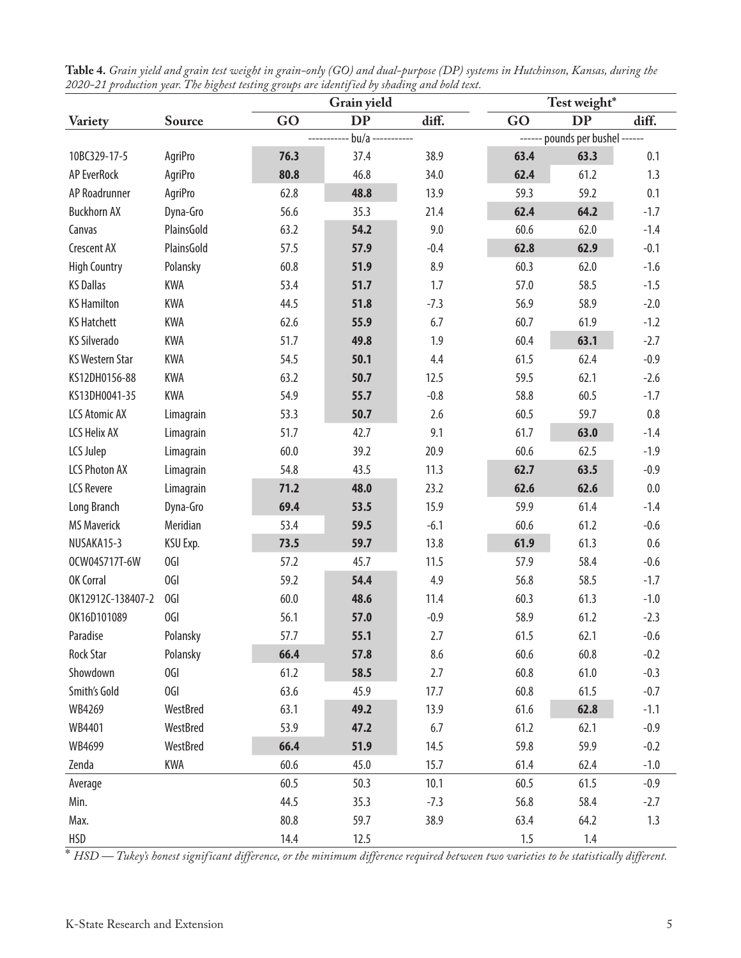|                        |                                                       | Grain yield |           |        | Test weight* |           |         |  |
|------------------------|-------------------------------------------------------|-------------|-----------|--------|--------------|-----------|---------|--|
| <b>Variety</b>         | <b>Source</b>                                         | GO          | <b>DP</b> | diff.  | GO           | <b>DP</b> | diff.   |  |
|                        | $bu/a$ -----------<br>------ pounds per bushel ------ |             |           |        |              |           |         |  |
| 10BC329-17-5           | AgriPro                                               | 76.3        | 37.4      | 38.9   | 63.4         | 63.3      | 0.1     |  |
| <b>AP EverRock</b>     | AgriPro                                               | 80.8        | 46.8      | 34.0   | 62.4         | 61.2      | 1.3     |  |
| AP Roadrunner          | AgriPro                                               | 62.8        | 48.8      | 13.9   | 59.3         | 59.2      | 0.1     |  |
| <b>Buckhorn AX</b>     | Dyna-Gro                                              | 56.6        | 35.3      | 21.4   | 62.4         | 64.2      | $-1.7$  |  |
| Canvas                 | PlainsGold                                            | 63.2        | 54.2      | 9.0    | 60.6         | 62.0      | $-1.4$  |  |
| <b>Crescent AX</b>     | PlainsGold                                            | 57.5        | 57.9      | $-0.4$ | 62.8         | 62.9      | $-0.1$  |  |
| <b>High Country</b>    | Polansky                                              | 60.8        | 51.9      | 8.9    | 60.3         | 62.0      | $-1.6$  |  |
| <b>KS Dallas</b>       | <b>KWA</b>                                            | 53.4        | 51.7      | 1.7    | 57.0         | 58.5      | $-1.5$  |  |
| <b>KS Hamilton</b>     | <b>KWA</b>                                            | 44.5        | 51.8      | $-7.3$ | 56.9         | 58.9      | $-2.0$  |  |
| <b>KS Hatchett</b>     | KWA                                                   | 62.6        | 55.9      | 6.7    | 60.7         | 61.9      | $-1.2$  |  |
| <b>KS Silverado</b>    | KWA                                                   | 51.7        | 49.8      | 1.9    | 60.4         | 63.1      | $-2.7$  |  |
| <b>KS Western Star</b> | <b>KWA</b>                                            | 54.5        | 50.1      | 4.4    | 61.5         | 62.4      | $-0.9$  |  |
| KS12DH0156-88          | KWA                                                   | 63.2        | 50.7      | 12.5   | 59.5         | 62.1      | $-2.6$  |  |
| KS13DH0041-35          | <b>KWA</b>                                            | 54.9        | 55.7      | $-0.8$ | 58.8         | 60.5      | $-1.7$  |  |
| <b>LCS Atomic AX</b>   | Limagrain                                             | 53.3        | 50.7      | 2.6    | 60.5         | 59.7      | $0.8\,$ |  |
| <b>LCS Helix AX</b>    | Limagrain                                             | 51.7        | 42.7      | 9.1    | 61.7         | 63.0      | $-1.4$  |  |
| LCS Julep              | Limagrain                                             | 60.0        | 39.2      | 20.9   | 60.6         | 62.5      | $-1.9$  |  |
| <b>LCS Photon AX</b>   | Limagrain                                             | 54.8        | 43.5      | 11.3   | 62.7         | 63.5      | $-0.9$  |  |
| <b>LCS Revere</b>      | Limagrain                                             | 71.2        | 48.0      | 23.2   | 62.6         | 62.6      | $0.0\,$ |  |
| Long Branch            | Dyna-Gro                                              | 69.4        | 53.5      | 15.9   | 59.9         | 61.4      | $-1.4$  |  |
| <b>MS Maverick</b>     | Meridian                                              | 53.4        | 59.5      | $-6.1$ | 60.6         | 61.2      | $-0.6$  |  |
| NUSAKA15-3             | KSU Exp.                                              | 73.5        | 59.7      | 13.8   | 61.9         | 61.3      | 0.6     |  |
| OCW04S717T-6W          | OGI                                                   | 57.2        | 45.7      | 11.5   | 57.9         | 58.4      | $-0.6$  |  |
| OK Corral              | OGI                                                   | 59.2        | 54.4      | 4.9    | 56.8         | 58.5      | $-1.7$  |  |
| OK12912C-138407-2      | OGI                                                   | 60.0        | 48.6      | 11.4   | 60.3         | 61.3      | $-1.0$  |  |
| OK16D101089            | OGI                                                   | 56.1        | 57.0      | $-0.9$ | 58.9         | 61.2      | $-2.3$  |  |
| Paradise               | Polansky                                              | 57.7        | 55.1      | 2.7    | 61.5         | 62.1      | $-0.6$  |  |
| <b>Rock Star</b>       | Polansky                                              | 66.4        | 57.8      | 8.6    | 60.6         | 60.8      | $-0.2$  |  |
| Showdown               | OGI                                                   | 61.2        | 58.5      | 2.7    | 60.8         | 61.0      | $-0.3$  |  |
| Smith's Gold           | OGI                                                   | 63.6        | 45.9      | 17.7   | 60.8         | 61.5      | $-0.7$  |  |
| WB4269                 | WestBred                                              | 63.1        | 49.2      | 13.9   | 61.6         | 62.8      | $-1.1$  |  |
| WB4401                 | WestBred                                              | 53.9        | 47.2      | 6.7    | 61.2         | 62.1      | $-0.9$  |  |
| WB4699                 | WestBred                                              | 66.4        | 51.9      | 14.5   | 59.8         | 59.9      | $-0.2$  |  |
| Zenda                  | KWA                                                   | 60.6        | 45.0      | 15.7   | 61.4         | 62.4      | $-1.0$  |  |
| Average                |                                                       | 60.5        | 50.3      | 10.1   | 60.5         | 61.5      | $-0.9$  |  |
| Min.                   |                                                       | 44.5        | 35.3      | $-7.3$ | 56.8         | 58.4      | $-2.7$  |  |
| Max.                   |                                                       | 80.8        | 59.7      | 38.9   | 63.4         | 64.2      | 1.3     |  |
| <b>HSD</b>             |                                                       | 14.4        | 12.5      |        | 1.5          | 1.4       |         |  |

| Table 4. Grain yield and grain test weight in grain-only (GO) and dual-purpose (DP) systems in Hutchinson, Kansas, during the |  |
|-------------------------------------------------------------------------------------------------------------------------------|--|
| 2020–21 production year. The highest testing groups are identified by shading and bold text.                                  |  |

\* *HSD — Tukey's honest significant difference, or the minimum difference required between two varieties to be statistically different.*